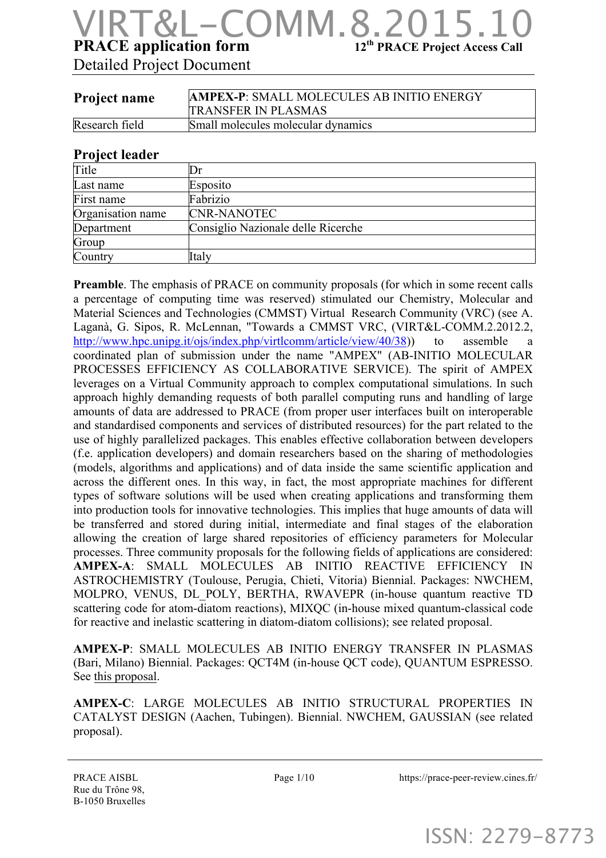## **PRACE application form** 12<sup>th</sup> **PRACE Project Access Call** COMM.8.

Detailed Project Document

| Project name   | <b>AMPEX-P: SMALL MOLECULES AB INITIO ENERGY</b><br><b>TRANSFER IN PLASMAS</b> |
|----------------|--------------------------------------------------------------------------------|
| Research field | Small molecules molecular dynamics                                             |

#### **Project leader**

| Title             |                                    |
|-------------------|------------------------------------|
| Last name         | Esposito                           |
| First name        | Fabrizio                           |
| Organisation name | <b>CNR-NANOTEC</b>                 |
| Department        | Consiglio Nazionale delle Ricerche |
| Group             |                                    |
| Country           | Italy                              |

**Preamble**. The emphasis of PRACE on community proposals (for which in some recent calls a percentage of computing time was reserved) stimulated our Chemistry, Molecular and Material Sciences and Technologies (CMMST) Virtual Research Community (VRC) (see A. Laganà, G. Sipos, R. McLennan, "Towards a CMMST VRC, (VIRT&L-COMM.2.2012.2, http://www.hpc.unipg.it/ojs/index.php/virtlcomm/article/view/40/38)) to assemble a coordinated plan of submission under the name "AMPEX" (AB-INITIO MOLECULAR PROCESSES EFFICIENCY AS COLLABORATIVE SERVICE). The spirit of AMPEX leverages on a Virtual Community approach to complex computational simulations. In such approach highly demanding requests of both parallel computing runs and handling of large amounts of data are addressed to PRACE (from proper user interfaces built on interoperable and standardised components and services of distributed resources) for the part related to the use of highly parallelized packages. This enables effective collaboration between developers (f.e. application developers) and domain researchers based on the sharing of methodologies (models, algorithms and applications) and of data inside the same scientific application and across the different ones. In this way, in fact, the most appropriate machines for different types of software solutions will be used when creating applications and transforming them into production tools for innovative technologies. This implies that huge amounts of data will be transferred and stored during initial, intermediate and final stages of the elaboration allowing the creation of large shared repositories of efficiency parameters for Molecular processes. Three community proposals for the following fields of applications are considered: AMPEX-A: SMALL MOLECULES AB INITIO REACTIVE EFFICIENCY ASTROCHEMISTRY (Toulouse, Perugia, Chieti, Vitoria) Biennial. Packages: NWCHEM, MOLPRO, VENUS, DL\_POLY, BERTHA, RWAVEPR (in-house quantum reactive TD scattering code for atom-diatom reactions), MIXQC (in-house mixed quantum-classical code for reactive and inelastic scattering in diatom-diatom collisions); see related proposal.

**AMPEX-P**: SMALL MOLECULES AB INITIO ENERGY TRANSFER IN PLASMAS (Bari, Milano) Biennial. Packages: QCT4M (in-house QCT code), QUANTUM ESPRESSO. See this proposal.

**AMPEX-C**: LARGE MOLECULES AB INITIO STRUCTURAL PROPERTIES IN CATALYST DESIGN (Aachen, Tubingen). Biennial. NWCHEM, GAUSSIAN (see related proposal).

PRACE AISBL Rue du Trône 98, B-1050 Bruxelles

Page  $1/10$  https://prace-peer-review.cines.fr/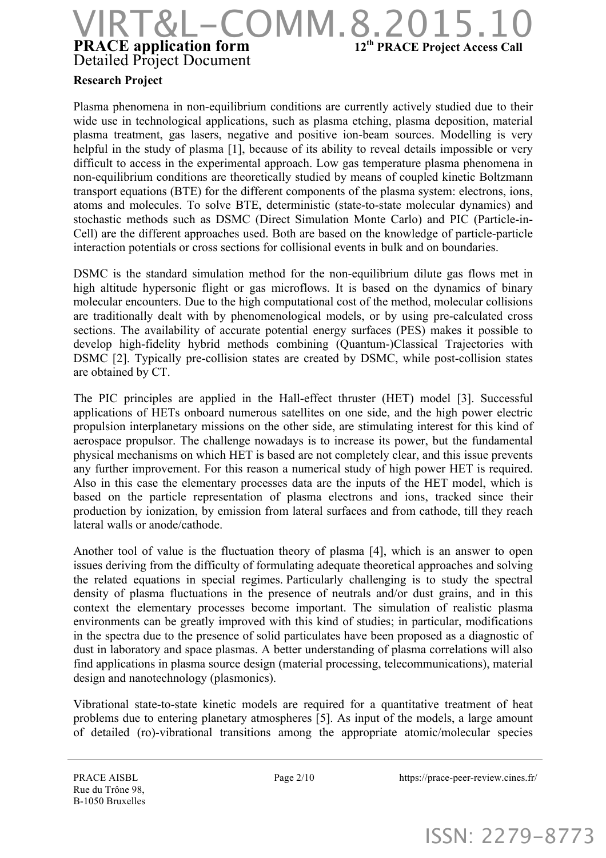### **PRACE application form** 12<sup>th</sup> **PRACE Project Access Call** Detailed Project Document &L-COMM.8.2015.1

#### **Research Project**

Plasma phenomena in non-equilibrium conditions are currently actively studied due to their wide use in technological applications, such as plasma etching, plasma deposition, material plasma treatment, gas lasers, negative and positive ion-beam sources. Modelling is very helpful in the study of plasma [1], because of its ability to reveal details impossible or very difficult to access in the experimental approach. Low gas temperature plasma phenomena in non-equilibrium conditions are theoretically studied by means of coupled kinetic Boltzmann transport equations (BTE) for the different components of the plasma system: electrons, ions, atoms and molecules. To solve BTE, deterministic (state-to-state molecular dynamics) and stochastic methods such as DSMC (Direct Simulation Monte Carlo) and PIC (Particle-in-Cell) are the different approaches used. Both are based on the knowledge of particle-particle interaction potentials or cross sections for collisional events in bulk and on boundaries.

DSMC is the standard simulation method for the non-equilibrium dilute gas flows met in high altitude hypersonic flight or gas microflows. It is based on the dynamics of binary molecular encounters. Due to the high computational cost of the method, molecular collisions are traditionally dealt with by phenomenological models, or by using pre-calculated cross sections. The availability of accurate potential energy surfaces (PES) makes it possible to develop high-fidelity hybrid methods combining (Quantum-)Classical Trajectories with DSMC [2]. Typically pre-collision states are created by DSMC, while post-collision states are obtained by CT.

The PIC principles are applied in the Hall-effect thruster (HET) model [3]. Successful applications of HETs onboard numerous satellites on one side, and the high power electric propulsion interplanetary missions on the other side, are stimulating interest for this kind of aerospace propulsor. The challenge nowadays is to increase its power, but the fundamental physical mechanisms on which HET is based are not completely clear, and this issue prevents any further improvement. For this reason a numerical study of high power HET is required. Also in this case the elementary processes data are the inputs of the HET model, which is based on the particle representation of plasma electrons and ions, tracked since their production by ionization, by emission from lateral surfaces and from cathode, till they reach lateral walls or anode/cathode.

Another tool of value is the fluctuation theory of plasma [4], which is an answer to open issues deriving from the difficulty of formulating adequate theoretical approaches and solving the related equations in special regimes. Particularly challenging is to study the spectral density of plasma fluctuations in the presence of neutrals and/or dust grains, and in this context the elementary processes become important. The simulation of realistic plasma environments can be greatly improved with this kind of studies; in particular, modifications in the spectra due to the presence of solid particulates have been proposed as a diagnostic of dust in laboratory and space plasmas. A better understanding of plasma correlations will also find applications in plasma source design (material processing, telecommunications), material design and nanotechnology (plasmonics).

Vibrational state-to-state kinetic models are required for a quantitative treatment of heat problems due to entering planetary atmospheres [5]. As input of the models, a large amount of detailed (ro)-vibrational transitions among the appropriate atomic/molecular species

Page 2/10 https://prace-peer-review.cines.fr/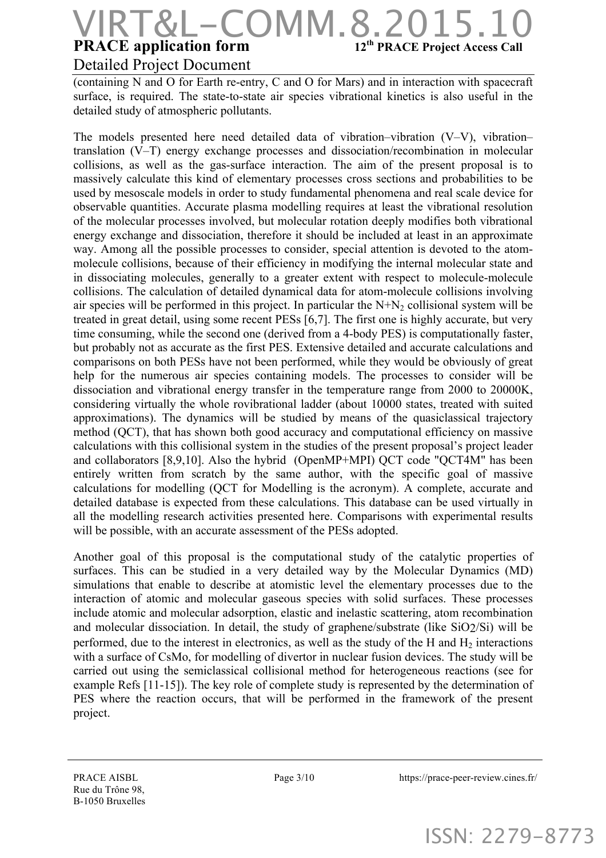### **PRACE application form** 12<sup>th</sup> **PRACE Project Access Call** Detailed Project Document COMM.8.2015

(containing N and O for Earth re-entry, C and O for Mars) and in interaction with spacecraft surface, is required. The state-to-state air species vibrational kinetics is also useful in the detailed study of atmospheric pollutants.

The models presented here need detailed data of vibration–vibration (V–V), vibration– translation (V–T) energy exchange processes and dissociation/recombination in molecular collisions, as well as the gas-surface interaction. The aim of the present proposal is to massively calculate this kind of elementary processes cross sections and probabilities to be used by mesoscale models in order to study fundamental phenomena and real scale device for observable quantities. Accurate plasma modelling requires at least the vibrational resolution of the molecular processes involved, but molecular rotation deeply modifies both vibrational energy exchange and dissociation, therefore it should be included at least in an approximate way. Among all the possible processes to consider, special attention is devoted to the atommolecule collisions, because of their efficiency in modifying the internal molecular state and in dissociating molecules, generally to a greater extent with respect to molecule-molecule collisions. The calculation of detailed dynamical data for atom-molecule collisions involving air species will be performed in this project. In particular the  $N+N_2$  collisional system will be treated in great detail, using some recent PESs [6,7]. The first one is highly accurate, but very time consuming, while the second one (derived from a 4-body PES) is computationally faster, but probably not as accurate as the first PES. Extensive detailed and accurate calculations and comparisons on both PESs have not been performed, while they would be obviously of great help for the numerous air species containing models. The processes to consider will be dissociation and vibrational energy transfer in the temperature range from 2000 to 20000K, considering virtually the whole rovibrational ladder (about 10000 states, treated with suited approximations). The dynamics will be studied by means of the quasiclassical trajectory method (QCT), that has shown both good accuracy and computational efficiency on massive calculations with this collisional system in the studies of the present proposal's project leader and collaborators [8,9,10]. Also the hybrid (OpenMP+MPI) QCT code "QCT4M" has been entirely written from scratch by the same author, with the specific goal of massive calculations for modelling (QCT for Modelling is the acronym). A complete, accurate and detailed database is expected from these calculations. This database can be used virtually in all the modelling research activities presented here. Comparisons with experimental results will be possible, with an accurate assessment of the PESs adopted.

Another goal of this proposal is the computational study of the catalytic properties of surfaces. This can be studied in a very detailed way by the Molecular Dynamics (MD) simulations that enable to describe at atomistic level the elementary processes due to the interaction of atomic and molecular gaseous species with solid surfaces. These processes include atomic and molecular adsorption, elastic and inelastic scattering, atom recombination and molecular dissociation. In detail, the study of graphene/substrate (like SiO2/Si) will be performed, due to the interest in electronics, as well as the study of the H and  $H<sub>2</sub>$  interactions with a surface of CsMo, for modelling of divertor in nuclear fusion devices. The study will be carried out using the semiclassical collisional method for heterogeneous reactions (see for example Refs [11-15]). The key role of complete study is represented by the determination of PES where the reaction occurs, that will be performed in the framework of the present project.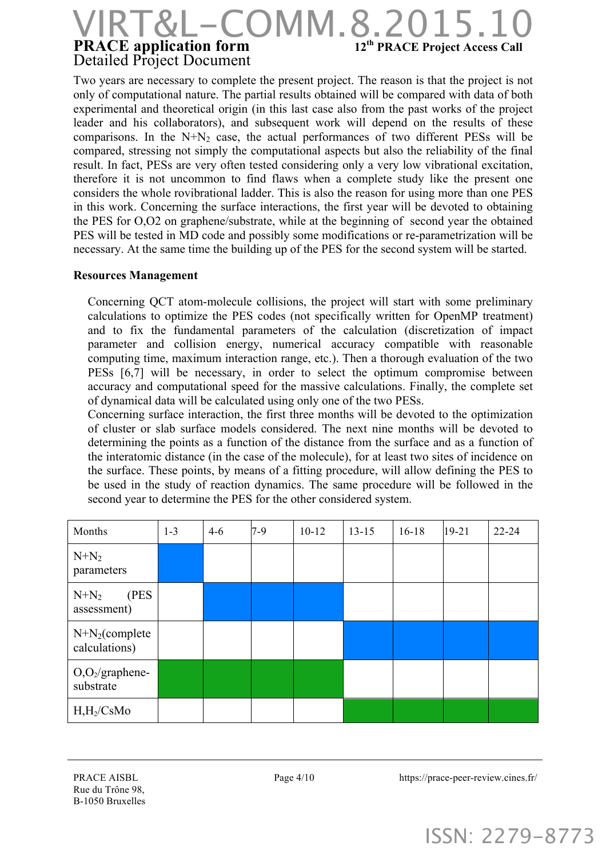### **PRACE application form** 12<sup>th</sup> **PRACE Project Access Call** Detailed Project Document  $-COMM.8.2015.10$

Two years are necessary to complete the present project. The reason is that the project is not only of computational nature. The partial results obtained will be compared with data of both experimental and theoretical origin (in this last case also from the past works of the project leader and his collaborators), and subsequent work will depend on the results of these comparisons. In the  $N+N_2$  case, the actual performances of two different PESs will be compared, stressing not simply the computational aspects but also the reliability of the final result. In fact, PESs are very often tested considering only a very low vibrational excitation, therefore it is not uncommon to find flaws when a complete study like the present one considers the whole rovibrational ladder. This is also the reason for using more than one PES in this work. Concerning the surface interactions, the first year will be devoted to obtaining the PES for O,O2 on graphene/substrate, while at the beginning of second year the obtained PES will be tested in MD code and possibly some modifications or re-parametrization will be necessary. At the same time the building up of the PES for the second system will be started.

#### **Resources Management**

Concerning QCT atom-molecule collisions, the project will start with some preliminary calculations to optimize the PES codes (not specifically written for OpenMP treatment) and to fix the fundamental parameters of the calculation (discretization of impact parameter and collision energy, numerical accuracy compatible with reasonable computing time, maximum interaction range, etc.). Then a thorough evaluation of the two PESs [6,7] will be necessary, in order to select the optimum compromise between accuracy and computational speed for the massive calculations. Finally, the complete set of dynamical data will be calculated using only one of the two PESs.

Concerning surface interaction, the first three months will be devoted to the optimization of cluster or slab surface models considered. The next nine months will be devoted to determining the points as a function of the distance from the surface and as a function of the interatomic distance (in the case of the molecule), for at least two sites of incidence on the surface. These points, by means of a fitting procedure, will allow defining the PES to be used in the study of reaction dynamics. The same procedure will be followed in the second year to determine the PES for the other considered system.

| Months                             | $1 - 3$ | $4 - 6$ | $7-9$ | $10 - 12$ | $13 - 15$ | $16 - 18$ | $19 - 21$ | $22 - 24$ |
|------------------------------------|---------|---------|-------|-----------|-----------|-----------|-----------|-----------|
| $N+N_2$<br>parameters              |         |         |       |           |           |           |           |           |
| (PES)<br>$N+N_2$<br>assessment)    |         |         |       |           |           |           |           |           |
| $N+N_2$ (complete<br>calculations) |         |         |       |           |           |           |           |           |
| $O_2$ /graphene-<br>substrate      |         |         |       |           |           |           |           |           |
| $H,H_2/CsMo$                       |         |         |       |           |           |           |           |           |

Page 4/10 https://prace-peer-review.cines.fr/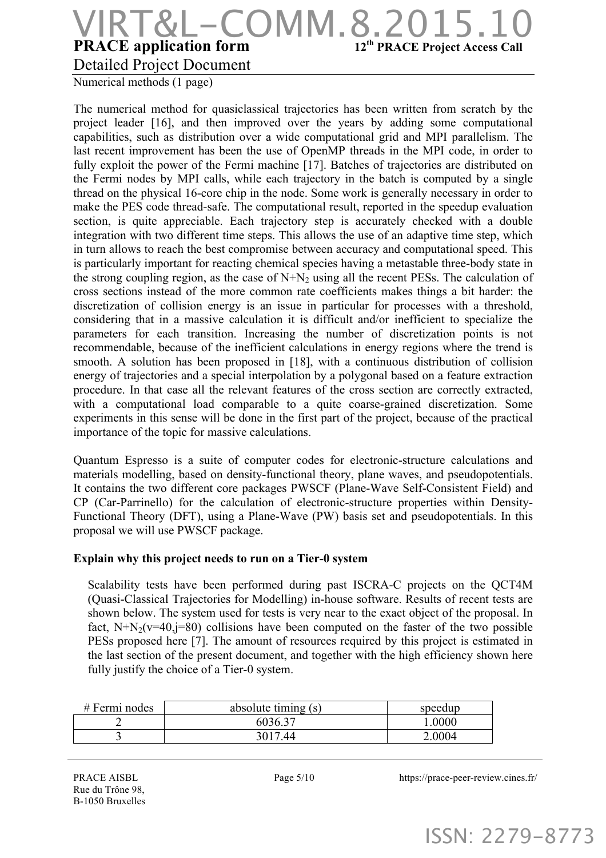### **PRACE application form** 12<sup>th</sup> **PRACE Project Access Call** Detailed Project Document OMM.8

Numerical methods (1 page)

The numerical method for quasiclassical trajectories has been written from scratch by the project leader [16], and then improved over the years by adding some computational capabilities, such as distribution over a wide computational grid and MPI parallelism. The last recent improvement has been the use of OpenMP threads in the MPI code, in order to fully exploit the power of the Fermi machine [17]. Batches of trajectories are distributed on the Fermi nodes by MPI calls, while each trajectory in the batch is computed by a single thread on the physical 16-core chip in the node. Some work is generally necessary in order to make the PES code thread-safe. The computational result, reported in the speedup evaluation section, is quite appreciable. Each trajectory step is accurately checked with a double integration with two different time steps. This allows the use of an adaptive time step, which in turn allows to reach the best compromise between accuracy and computational speed. This is particularly important for reacting chemical species having a metastable three-body state in the strong coupling region, as the case of  $N+N_2$  using all the recent PESs. The calculation of cross sections instead of the more common rate coefficients makes things a bit harder: the discretization of collision energy is an issue in particular for processes with a threshold, considering that in a massive calculation it is difficult and/or inefficient to specialize the parameters for each transition. Increasing the number of discretization points is not recommendable, because of the inefficient calculations in energy regions where the trend is smooth. A solution has been proposed in [18], with a continuous distribution of collision energy of trajectories and a special interpolation by a polygonal based on a feature extraction procedure. In that case all the relevant features of the cross section are correctly extracted, with a computational load comparable to a quite coarse-grained discretization. Some experiments in this sense will be done in the first part of the project, because of the practical importance of the topic for massive calculations.

Quantum Espresso is a suite of computer codes for electronic-structure calculations and materials modelling, based on density-functional theory, plane waves, and pseudopotentials. It contains the two different core packages PWSCF (Plane-Wave Self-Consistent Field) and CP (Car-Parrinello) for the calculation of electronic-structure properties within Density-Functional Theory (DFT), using a Plane-Wave (PW) basis set and pseudopotentials. In this proposal we will use PWSCF package.

#### **Explain why this project needs to run on a Tier-0 system**

Scalability tests have been performed during past ISCRA-C projects on the QCT4M (Quasi-Classical Trajectories for Modelling) in-house software. Results of recent tests are shown below. The system used for tests is very near to the exact object of the proposal. In fact,  $N+N_2(v=40,j=80)$  collisions have been computed on the faster of the two possible PESs proposed here [7]. The amount of resources required by this project is estimated in the last section of the present document, and together with the high efficiency shown here fully justify the choice of a Tier-0 system.

| $#$ Fermi nodes | absolute timing (s) | speedup |
|-----------------|---------------------|---------|
|                 | 6036.37             | .0000   |
|                 | 3017.44             | 2.0004  |

PRACE AISBL Rue du Trône 98, B-1050 Bruxelles Page 5/10 https://prace-peer-review.cines.fr/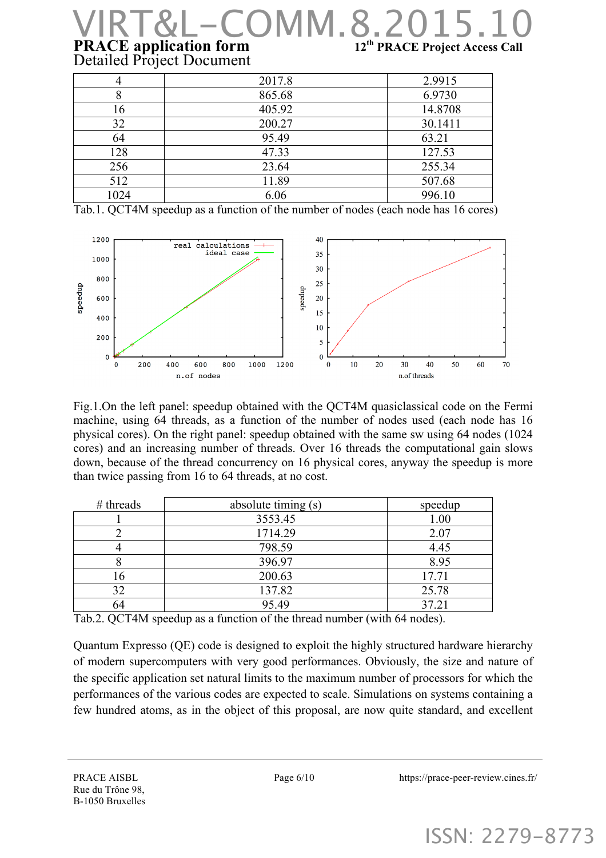### **PRACE application form** 12<sup>th</sup> **PRACE Project Access Call** Detailed Project Document  $COMM.8.2$

|      | 2017.8 | 2.9915  |
|------|--------|---------|
| 8    | 865.68 | 6.9730  |
| 16   | 405.92 | 14.8708 |
| 32   | 200.27 | 30.1411 |
| 64   | 95.49  | 63.21   |
| 128  | 47.33  | 127.53  |
| 256  | 23.64  | 255.34  |
| 512  | 11.89  | 507.68  |
| 1024 | 6.06   | 996.10  |

Tab.1. QCT4M speedup as a function of the number of nodes (each node has 16 cores)



Fig.1.On the left panel: speedup obtained with the QCT4M quasiclassical code on the Fermi machine, using 64 threads, as a function of the number of nodes used (each node has 16 physical cores). On the right panel: speedup obtained with the same sw using 64 nodes (1024 cores) and an increasing number of threads. Over 16 threads the computational gain slows down, because of the thread concurrency on 16 physical cores, anyway the speedup is more than twice passing from 16 to 64 threads, at no cost.

| $#$ threads | absolute timing (s) | speedup |
|-------------|---------------------|---------|
|             | 3553.45             | 1.00    |
|             | 1714.29             | 2.07    |
|             | 798.59              | 4.45    |
|             | 396.97              | 8.95    |
| 16          | 200.63              | 17.71   |
| 32          | 137.82              | 25.78   |
| 54          | 95.49               | 37.21   |

Tab.2. QCT4M speedup as a function of the thread number (with 64 nodes).

Quantum Expresso (QE) code is designed to exploit the highly structured hardware hierarchy of modern supercomputers with very good performances. Obviously, the size and nature of the specific application set natural limits to the maximum number of processors for which the performances of the various codes are expected to scale. Simulations on systems containing a few hundred atoms, as in the object of this proposal, are now quite standard, and excellent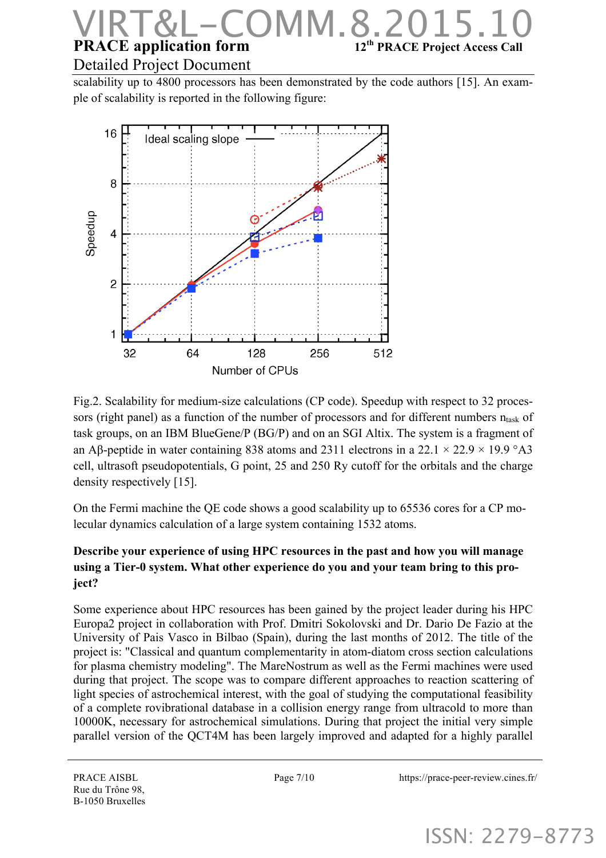### **PRACE application form** 12<sup>th</sup> **PRACE Project Access Call** Detailed Project Document **S.MMC**

scalability up to 4800 processors has been demonstrated by the code authors [15]. An example of scalability is reported in the following figure:



Fig.2. Scalability for medium-size calculations (CP code). Speedup with respect to 32 processors (right panel) as a function of the number of processors and for different numbers  $n<sub>task</sub>$  of task groups, on an IBM BlueGene/P (BG/P) and on an SGI Altix. The system is a fragment of an Aβ-peptide in water containing 838 atoms and 2311 electrons in a 22.1  $\times$  22.9  $\times$  19.9 °A3 cell, ultrasoft pseudopotentials, G point, 25 and 250 Ry cutoff for the orbitals and the charge density respectively [15].

On the Fermi machine the QE code shows a good scalability up to 65536 cores for a CP molecular dynamics calculation of a large system containing 1532 atoms.

#### **Describe your experience of using HPC resources in the past and how you will manage using a Tier-0 system. What other experience do you and your team bring to this project?**

Some experience about HPC resources has been gained by the project leader during his HPC Europa2 project in collaboration with Prof. Dmitri Sokolovski and Dr. Dario De Fazio at the University of Pais Vasco in Bilbao (Spain), during the last months of 2012. The title of the project is: "Classical and quantum complementarity in atom-diatom cross section calculations for plasma chemistry modeling". The MareNostrum as well as the Fermi machines were used during that project. The scope was to compare different approaches to reaction scattering of light species of astrochemical interest, with the goal of studying the computational feasibility of a complete rovibrational database in a collision energy range from ultracold to more than 10000K, necessary for astrochemical simulations. During that project the initial very simple parallel version of the QCT4M has been largely improved and adapted for a highly parallel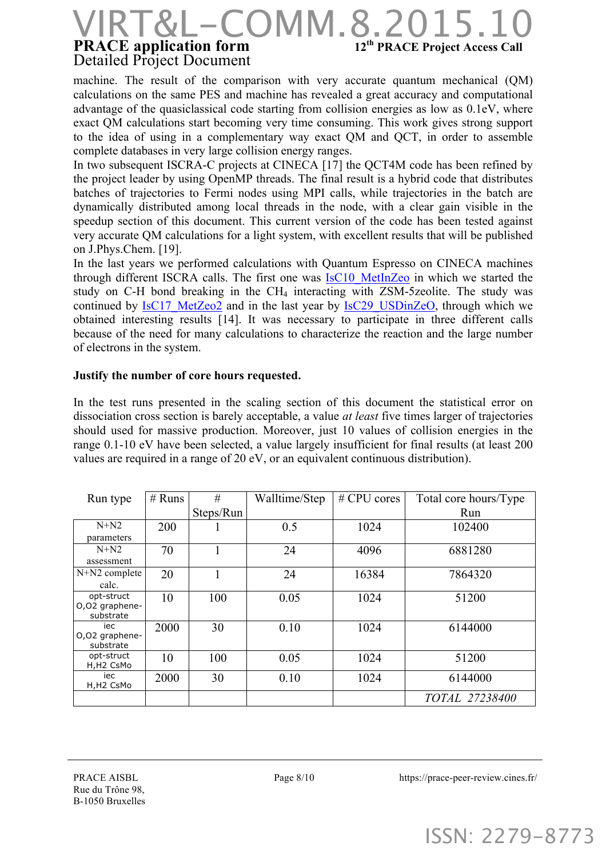### **PRACE application form** 12<sup>th</sup> **PRACE Project Access Call** Detailed Project Document  $COMM.8.$

machine. The result of the comparison with very accurate quantum mechanical (QM) calculations on the same PES and machine has revealed a great accuracy and computational advantage of the quasiclassical code starting from collision energies as low as 0.1eV, where exact QM calculations start becoming very time consuming. This work gives strong support to the idea of using in a complementary way exact QM and QCT, in order to assemble complete databases in very large collision energy ranges.

In two subsequent ISCRA-C projects at CINECA [17] the OCT4M code has been refined by the project leader by using OpenMP threads. The final result is a hybrid code that distributes batches of trajectories to Fermi nodes using MPI calls, while trajectories in the batch are dynamically distributed among local threads in the node, with a clear gain visible in the speedup section of this document. This current version of the code has been tested against very accurate QM calculations for a light system, with excellent results that will be published on J.Phys.Chem. [19].

In the last years we performed calculations with Quantum Espresso on CINECA machines through different ISCRA calls. The first one was IsC10 MetInZeo in which we started the study on C-H bond breaking in the CH<sub>4</sub> interacting with ZSM-5zeolite. The study was continued by IsC17 MetZeo2 and in the last year by IsC29 USDinZeO, through which we obtained interesting results [14]. It was necessary to participate in three different calls because of the need for many calculations to characterize the reaction and the large number of electrons in the system.

#### **Justify the number of core hours requested.**

In the test runs presented in the scaling section of this document the statistical error on dissociation cross section is barely acceptable, a value *at least* five times larger of trajectories should used for massive production. Moreover, just 10 values of collision energies in the range 0.1-10 eV have been selected, a value largely insufficient for final results (at least 200 values are required in a range of 20 eV, or an equivalent continuous distribution).

| Run type                    | $#$ Runs | #         | Walltime/Step | # CPU cores | Total core hours/Type |
|-----------------------------|----------|-----------|---------------|-------------|-----------------------|
|                             |          | Steps/Run |               |             | Run                   |
| $N+N2$                      | 200      |           | 0.5           | 1024        | 102400                |
| parameters                  |          |           |               |             |                       |
| $N+N2$                      | 70       |           | 24            | 4096        | 6881280               |
| assessment                  |          |           |               |             |                       |
| $N+N2$ complete             | 20       |           | 24            | 16384       | 7864320               |
| calc.                       |          |           |               |             |                       |
| opt-struct                  | 10       | 100       | 0.05          | 1024        | 51200                 |
| O,O2 graphene-              |          |           |               |             |                       |
| substrate                   |          |           |               |             |                       |
| iec                         | 2000     | 30        | 0.10          | 1024        | 6144000               |
| O,O2 graphene-<br>substrate |          |           |               |             |                       |
| opt-struct                  | 10       | 100       | 0.05          | 1024        | 51200                 |
| H,H2 CsMo                   |          |           |               |             |                       |
| iec                         | 2000     | 30        | 0.10          | 1024        | 6144000               |
| H,H2 CsMo                   |          |           |               |             |                       |
|                             |          |           |               |             | TOTAL 27238400        |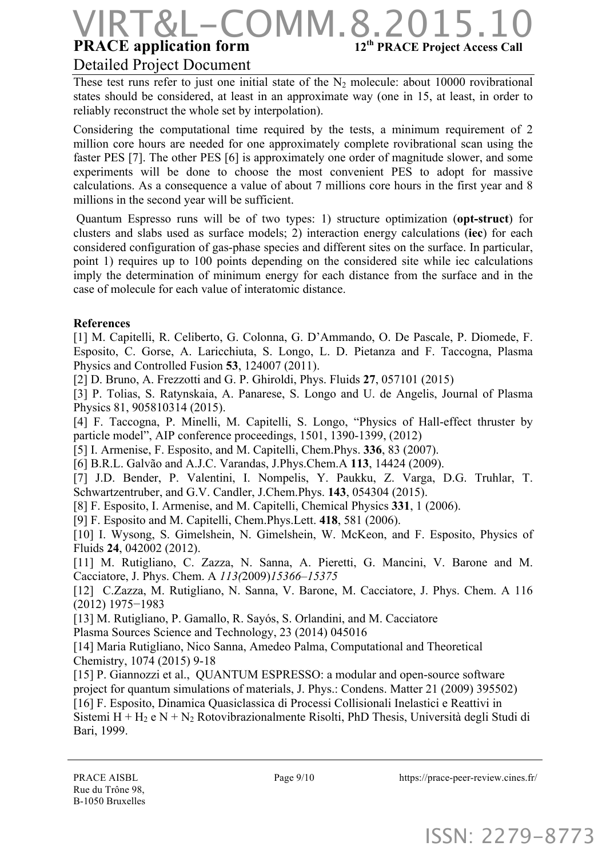# **PRACE application form** 12<sup>th</sup> **PRACE Project Access Call** VIRT&L-COMM.8.2015.10

#### Detailed Project Document

These test runs refer to just one initial state of the  $N_2$  molecule: about 10000 rovibrational states should be considered, at least in an approximate way (one in 15, at least, in order to reliably reconstruct the whole set by interpolation).

Considering the computational time required by the tests, a minimum requirement of 2 million core hours are needed for one approximately complete rovibrational scan using the faster PES [7]. The other PES [6] is approximately one order of magnitude slower, and some experiments will be done to choose the most convenient PES to adopt for massive calculations. As a consequence a value of about 7 millions core hours in the first year and 8 millions in the second year will be sufficient.

Quantum Espresso runs will be of two types: 1) structure optimization (**opt-struct**) for clusters and slabs used as surface models; 2) interaction energy calculations (**iec**) for each considered configuration of gas-phase species and different sites on the surface. In particular, point 1) requires up to 100 points depending on the considered site while iec calculations imply the determination of minimum energy for each distance from the surface and in the case of molecule for each value of interatomic distance.

#### **References**

[1] M. Capitelli, R. Celiberto, G. Colonna, G. D'Ammando, O. De Pascale, P. Diomede, F. Esposito, C. Gorse, A. Laricchiuta, S. Longo, L. D. Pietanza and F. Taccogna, Plasma Physics and Controlled Fusion **53**, 124007 (2011).

[2] D. Bruno, A. Frezzotti and G. P. Ghiroldi, Phys. Fluids **27**, 057101 (2015)

[3] P. Tolias, S. Ratynskaia, A. Panarese, S. Longo and U. de Angelis, Journal of Plasma Physics 81, 905810314 (2015).

[4] F. Taccogna, P. Minelli, M. Capitelli, S. Longo, "Physics of Hall-effect thruster by particle model", AIP conference proceedings, 1501, 1390-1399, (2012)

[5] I. Armenise, F. Esposito, and M. Capitelli, Chem.Phys. **336**, 83 (2007).

[6] B.R.L. Galvão and A.J.C. Varandas, J.Phys.Chem.A **113**, 14424 (2009).

[7] J.D. Bender, P. Valentini, I. Nompelis, Y. Paukku, Z. Varga, D.G. Truhlar, T. Schwartzentruber, and G.V. Candler, J.Chem.Phys. **143**, 054304 (2015).

[8] F. Esposito, I. Armenise, and M. Capitelli, Chemical Physics **331**, 1 (2006).

[9] F. Esposito and M. Capitelli, Chem.Phys.Lett. **418**, 581 (2006).

[10] I. Wysong, S. Gimelshein, N. Gimelshein, W. McKeon, and F. Esposito, Physics of Fluids **24**, 042002 (2012).

[11] M. Rutigliano, C. Zazza, N. Sanna, A. Pieretti, G. Mancini, V. Barone and M. Cacciatore, J. Phys. Chem. A *113(*2009)*15366–15375*

[12] C.Zazza, M. Rutigliano, N. Sanna, V. Barone, M. Cacciatore, J. Phys. Chem. A 116 (2012) 1975−1983

[13] M. Rutigliano, P. Gamallo, R. Sayós, S. Orlandini, and M. Cacciatore

Plasma Sources Science and Technology, 23 (2014) 045016

[14] Maria Rutigliano, Nico Sanna, Amedeo Palma, Computational and Theoretical Chemistry, 1074 (2015) 9-18

[15] P. Giannozzi et al., QUANTUM ESPRESSO: a modular and open-source software project for quantum simulations of materials, J. Phys.: Condens. Matter 21 (2009) 395502) [16] F. Esposito, Dinamica Quasiclassica di Processi Collisionali Inelastici e Reattivi in Sistemi H +  $H_2$  e N +  $N_2$  Rotovibrazionalmente Risolti, PhD Thesis, Università degli Studi di Bari, 1999.